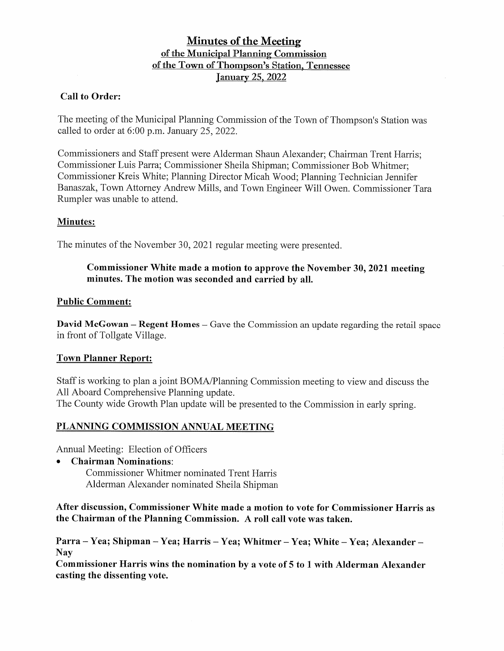# **Minutes of the Meeting of the Municipal Planning Commission of the Town of Thompson's Station, Tennessee January 25, 2022**

# **Call to Order:**

The meeting of the Municipal Planning Commission of the Town of Thompson's Station was called to order at 6:00 p.m. January 25, 2022.

Commissioners and Staff present were Alderman Shaun Alexander; Chairman Trent Harris; Commissioner Luis Parra; Commissioner Sheila Shipman; Commissioner Bob Whitmer; Commissioner Kreis White; Planning Director Micah Wood; Planning Technician Jennifer Banaszak, Town Attorney Andrew Mills, and Town Engineer Will Owen. Commissioner Tara Rumpler was unable to attend.

# **Minutes:**

The minutes of the November 30, 2021 regular meeting were presented.

### **Commissioner White made a motion to approve the November 30, 2021 meeting minutes. The motion was seconded and carried by all.**

### **Public Comment:**

**David McGowan – Regent Homes –** Gave the Commission an update regarding the retail space in front of Tollgate Village.

# **Town Planner Report:**

Staff is working to plan a joint BOMA/Planning Commission meeting to view and discuss the All Aboard Comprehensive Planning update. The County wide Growth Plan update will be presented to the Commission in early spring.

# **PLANNING COMMISSION ANNUAL MEETING**

Annual Meeting: Election of Officers

• **Chairman Nominations:** 

Commissioner Whitmer nominated Trent Harris Alderman Alexander nominated Sheila Shipman

**After discussion, Commissioner White made a motion to vote for Commissioner Harris as the Chairman of the Planning Commission. A roll call vote was taken.** 

**Parra** - **Yea; Shipman** - **Yea; Harris** - **Yea; Whitmer** - **Yea; White** - **Yea; Alexander** - **Nay** 

**Commissioner Harris wins the nomination by a vote of 5 to 1 with Alderman Alexander casting the dissenting vote.**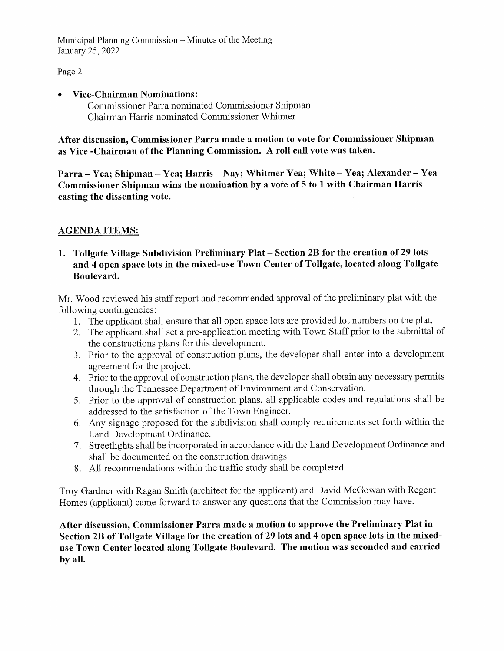Municipal Planning Commission - Minutes of the Meeting January 25, 2022

#### Page 2

#### • **Vice-Chairman Nominations:**

Commissioner Parra nominated Commissioner Shipman Chairman Harris nominated Commissioner Whitmer

**After discussion, Commissioner Parra made a motion to vote for Commissioner Shipman as Vice -Chairman of the Planning Commission. A roll call vote was taken.** 

**Parra** - **Yea; Shipman** - **Yea; Harris** - **Nay; Whitmer Yea; White** - **Yea; Alexander** - **Yea Commissioner Shipman wins the nomination by a vote of 5 to 1 with Chairman Harris casting the dissenting vote.** 

### **AGENDA ITEMS:**

### **1. Tollgate Village Subdivision Preliminary Plat** - **Section 2B for the creation of 29 lots and 4 open space lots in the mixed-use Town Center of Tollgate, located along Tollgate Boulevard.**

Mr. Wood reviewed his staff report and recommended approval of the preliminary plat with the following contingencies:

- 1. The applicant shall ensure that all open space lots are provided lot numbers on the plat.
- 2. The applicant shall set a pre-application meeting with Town Staff prior to the submittal of the constructions plans for this development.
- 3. Prior to the approval of construction plans, the developer shall enter into a development agreement for the project.
- 4. Prior to the approval of construction plans, the developer shall obtain any necessary permits through the Tennessee Department of Environment and Conservation.
- 5. Prior to the approval of construction plans, all applicable codes and regulations shall be addressed to the satisfaction of the Town Engineer.
- 6. Any signage proposed for the subdivision shall comply requirements set forth within the Land Development Ordinance.
- 7. Streetlights shall be incorporated in accordance with the Land Development Ordinance and shall be documented on the construction drawings.
- 8. All recommendations within the traffic study shall be completed.

Troy Gardner with Ragan Smith (architect for the applicant) and David McGowan with Regent Homes (applicant) came forward to answer any questions that the Commission may have.

**After discussion, Commissioner Parra made a motion to approve the Preliminary Plat in Section 2B of Tollgate Village for the creation of 29 lots and 4 open space lots in the mixeduse Town Center located along Tollgate Boulevard. The motion was seconded and carried by all.**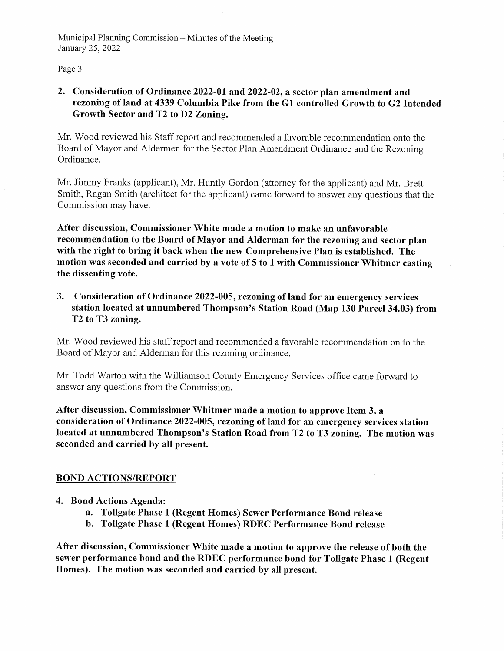Municipal Planning Commission  $-$  Minutes of the Meeting January 25, 2022

Page 3

### **2. Consideration of Ordinance 2022-01 and 2022-02, a sector plan amendment and rezoning of land at 4339 Columbia Pike from the G 1 controlled Growth to G2 Intended Growth Sector and T2 to D2 Zoning.**

Mr. Wood reviewed his Staff report and recommended a favorable recommendation onto the Board of Mayor and Aldermen for the Sector Plan Amendment Ordinance and the Rezoning Ordinance.

Mr. Jimmy Franks (applicant), Mr. Huntly Gordon (attorney for the applicant) and Mr. Brett Smith, Ragan Smith ( architect for the applicant) came forward to answer any questions that the Commission may have.

**After discussion, Commissioner White made a motion to make an unfavorable recommendation to the Board of Mayor and Alderman for the rezoning and sector plan with the right to bring it back when the new Comprehensive Plan is established. The motion was seconded and carried by a vote of 5 to 1 with Commissioner Whitmer casting the dissenting vote.** 

**3. Consideration of Ordinance 2022-005, rezoning of land for an emergency services station located at unnumbered Thompson's Station Road (Map 130 Parcel 34.03) from T2 to T3 zoning.** 

Mr. Wood reviewed his staff report and recommended a favorable recommendation on to the Board of Mayor and Alderman for this rezoning ordinance.

Mr. Todd Warton with the Williamson County Emergency Services office came forward to answer any questions from the Commission.

**After discussion, Commissioner Whitmer made a motion to approve Item 3, a consideration of Ordinance 2022-005, rezoning of land for an emergency services station located at unnumbered Thompson's Station Road from T2 to T3 zoning. The motion was seconded and carried by all present.** 

# **BOND ACTIONS/REPORT**

- **4. Bond Actions Agenda:** 
	- **a. Tollgate Phase 1 (Regent Homes) Sewer Performance Bond release**
	- **b. Tollgate Phase 1 (Regent Homes) RDEC Performance Bond release**

**After discussion, Commissioner White made a motion to approve the release of both the sewer performance bond and the RDEC performance bond for Tollgate Phase 1 (Regent Homes). The motion was seconded and carried by all present.**